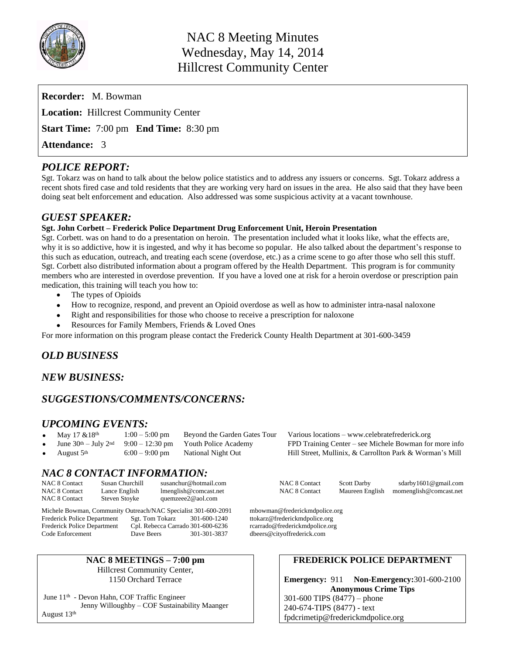

| <b>Recorder:</b> M. Bowman                          |  |
|-----------------------------------------------------|--|
| <b>Location:</b> Hillcrest Community Center         |  |
| <b>Start Time:</b> 7:00 pm <b>End Time:</b> 8:30 pm |  |
| <b>Attendance: 3</b>                                |  |

# *POLICE REPORT:*

Sgt. Tokarz was on hand to talk about the below police statistics and to address any issuers or concerns. Sgt. Tokarz address a recent shots fired case and told residents that they are working very hard on issues in the area. He also said that they have been doing seat belt enforcement and education. Also addressed was some suspicious activity at a vacant townhouse.

# *GUEST SPEAKER:*

## **Sgt. John Corbett – Frederick Police Department Drug Enforcement Unit, Heroin Presentation**

Sgt. Corbett. was on hand to do a presentation on heroin. The presentation included what it looks like, what the effects are, why it is so addictive, how it is ingested, and why it has become so popular. He also talked about the department's response to this such as education, outreach, and treating each scene (overdose, etc.) as a crime scene to go after those who sell this stuff. Sgt. Corbett also distributed information about a program offered by the Health Department. This program is for community members who are interested in overdose prevention. If you have a loved one at risk for a heroin overdose or prescription pain medication, this training will teach you how to:

- The types of Opioids
- How to recognize, respond, and prevent an Opioid overdose as well as how to administer intra-nasal naloxone
- Right and responsibilities for those who choose to receive a prescription for naloxone
- Resources for Family Members, Friends & Loved Ones

For more information on this program please contact the Frederick County Health Department at 301-600-3459

## *OLD BUSINESS*

## *NEW BUSINESS:*

# *SUGGESTIONS/COMMENTS/CONCERNS:*

## *UPCOMING EVENTS:*

- 
- 
- 

May  $17 \& 18^{th}$  1:00 – 5:00 pm Beyond the Garden Gates Tour Various locations – www.celebratefrederick.org<br>June  $30^{th}$  – July 2<sup>nd</sup> 9:00 – 12:30 pm Youth Police Academy FPD Training Center – see Michele Bowman for FPD Training Center – see Michele Bowman for more info August 5th 6:00 – 9:00 pm National Night Out Hill Street, Mullinix, & Carrollton Park & Worman's Mill

# *NAC 8 CONTACT INFORMATION:*

| <b>NAC 8 Contact</b> | Susan Churchill | susanchur@hotmail.com | <b>NAC 8 Contact</b> | <b>Scott Darby</b> | sdarby1601@gmail.com                   |
|----------------------|-----------------|-----------------------|----------------------|--------------------|----------------------------------------|
| NAC 8 Contact        | Lance English   | lmenglish@comcast.net | <b>NAC 8 Contact</b> |                    | Maureen English momenglish@comcast.net |
| <b>NAC 8 Contact</b> | Steven Stovke   | quemzeee2@aol.com     |                      |                    |                                        |

Michele Bowman, Community Outreach/NAC Specialist 301-600-2091 mbowman@frederickmdpolice.org<br>Frederick Police Department Sgt. Tom Tokarz 301-600-1240 ttokarz@frederickmdpolice.org Frederick Police Department Sgt. Tom Tokarz 301-600-1240 ttokarz@frederickmdpolice.org<br>Frederick Police Department Cpl. Rebecca Carrado 301-600-6236 rcarrado@frederickmdpolice.org Cpl. Rebecca Carrado 301-600-6236 Code Enforcement Dave Beers 301-301-3837 dbeers@cityoffrederick.com

## **NAC 8 MEETINGS – 7:00 pm**

Hillcrest Community Center, 1150 Orchard Terrace

June 11th - Devon Hahn, COF Traffic Engineer Jenny Willoughby – COF Sustainability Maanger August 13<sup>th</sup>

## **FREDERICK POLICE DEPARTMENT**

**Emergency:** 911 **Non-Emergency:**301-600-2100 **Anonymous Crime Tips** 301-600 TIPS (8477) – phone 240-674-TIPS (8477) - text [fpdcrimetip@frederickmdpolice.org](mailto:fpdcrimetip@frederickmdpolice.org)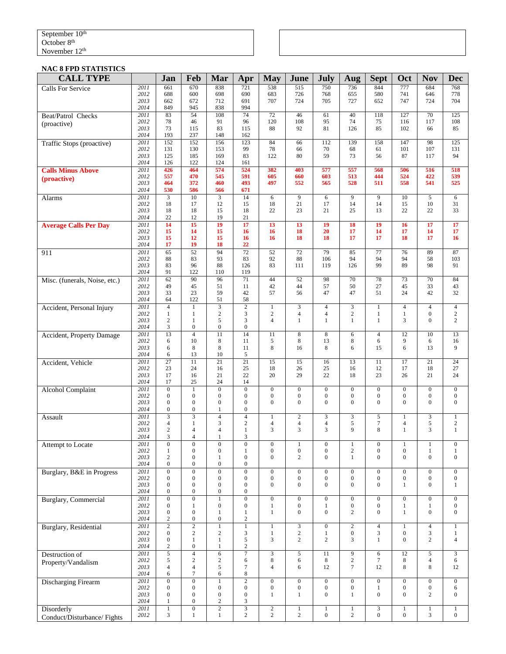#### September 10<sup>th</sup> October 8<sup>th</sup> November 12<sup>th</sup>

#### **NAC 8 FPD STATISTICS**

| <b>CALL TYPE</b>              |              | Jan                                  | Feb                                  | Mar                                  | Apr                                       | <b>May</b>                       | June                               | <b>July</b>                          | Aug                              | <b>Sept</b>                          | Oct                            | <b>Nov</b>                           | <b>Dec</b>                           |
|-------------------------------|--------------|--------------------------------------|--------------------------------------|--------------------------------------|-------------------------------------------|----------------------------------|------------------------------------|--------------------------------------|----------------------------------|--------------------------------------|--------------------------------|--------------------------------------|--------------------------------------|
| <b>Calls For Service</b>      | 2011         | 661                                  | 670                                  | 838                                  | 721                                       | 538                              | 515                                | 750                                  | 736                              | 844                                  | 777                            | 684                                  | 768                                  |
|                               | 2012<br>2013 | 688<br>662                           | 600<br>672                           | 698<br>712                           | 690<br>691                                | 683<br>707                       | 726<br>724                         | 768<br>705                           | 655<br>727                       | 580<br>652                           | 741<br>747                     | 646<br>724                           | 778<br>704                           |
|                               | 2014         | 849                                  | 945                                  | 838                                  | 994                                       |                                  |                                    |                                      |                                  |                                      |                                |                                      |                                      |
| Beat/Patrol Checks            | 2011<br>2012 | 83<br>78                             | 54<br>46                             | 108<br>91                            | $\overline{74}$<br>96                     | $\overline{72}$<br>120           | 46<br>108                          | 61<br>95                             | 40<br>74                         | 118<br>75                            | 127<br>116                     | 70<br>117                            | 125<br>108                           |
| (proactive)                   | 2013         | 73                                   | 115                                  | 83                                   | 115                                       | 88                               | 92                                 | 81                                   | 126                              | 85                                   | 102                            | 66                                   | 85                                   |
|                               | 2014         | 193                                  | 237                                  | 148                                  | 162                                       |                                  |                                    |                                      |                                  |                                      |                                |                                      |                                      |
| Traffic Stops (proactive)     | 2011<br>2012 | 152<br>131                           | 152<br>130                           | 156<br>153                           | 123<br>99                                 | 84<br>78                         | 66<br>66                           | 112<br>70                            | 139<br>68                        | 158<br>61                            | 147<br>101                     | 98<br>107                            | 125<br>131                           |
|                               | 2013         | 125                                  | 185                                  | 169                                  | 83                                        | 122                              | 80                                 | 59                                   | 73                               | 56                                   | 87                             | 117                                  | 94                                   |
| <b>Calls Minus Above</b>      | 2014<br>2011 | 126<br>426                           | 122<br>464                           | 124<br>574                           | 161<br>524                                | 382                              | 403                                | 577                                  | 557                              | 568                                  | 506                            | 516                                  | 518                                  |
| (proactive)                   | 2012         | 557                                  | 470                                  | 545                                  | 591                                       | 605                              | 660                                | 603                                  | 513                              | 444                                  | 524                            | 422                                  | 539                                  |
|                               | 2013<br>2014 | 464<br>530                           | 372<br>586                           | 460<br>566                           | 493<br>671                                | 497                              | 552                                | 565                                  | 528                              | 511                                  | 558                            | 541                                  | 525                                  |
| Alarms                        | 2011         | 3                                    | 10                                   | 3                                    | 14                                        | 6                                | 9                                  | 6                                    | 9                                | 9                                    | 10                             | 5                                    | 6                                    |
|                               | 2012         | 18                                   | 17                                   | 12                                   | 15                                        | 18                               | 21                                 | 17                                   | 14                               | 14                                   | 15                             | 10                                   | 31                                   |
|                               | 2013<br>2014 | 18<br>22                             | 18<br>12                             | 15<br>19                             | 18<br>21                                  | 22                               | 23                                 | 21                                   | 25                               | 13                                   | 22                             | 22                                   | 33                                   |
| <b>Average Calls Per Day</b>  | 2011         | 14                                   | 15                                   | 19                                   | $\overline{17}$                           | 13                               | 13                                 | 19                                   | 18                               | 19                                   | 16                             | 17                                   | 17                                   |
|                               | 2012         | 15                                   | 14                                   | 15                                   | 16                                        | 16                               | 18                                 | 20                                   | 17                               | 14                                   | 17                             | 14                                   | 17                                   |
|                               | 2013<br>2014 | 15<br>17                             | 12<br>19                             | 15<br>18                             | 16<br>22                                  | 16                               | 18                                 | 18                                   | 17                               | 17                                   | 18                             | 17                                   | 16                                   |
| 911                           | 2011         | 65                                   | 52                                   | 94                                   | 72                                        | 52                               | 72                                 | 79                                   | 85                               | 77                                   | 76                             | 89                                   | 87                                   |
|                               | 2012<br>2013 | 88<br>83                             | 83<br>96                             | 93<br>88                             | 83<br>126                                 | 92<br>83                         | 88<br>111                          | 106<br>119                           | 94<br>126                        | 94<br>99                             | 94<br>89                       | 58<br>98                             | 103<br>91                            |
|                               | 2014         | 91                                   | 122                                  | 110                                  | 119                                       |                                  |                                    |                                      |                                  |                                      |                                |                                      |                                      |
| Misc. (funerals, Noise, etc.) | 2011         | 62                                   | 90                                   | 96                                   | $\overline{71}$                           | 44                               | 52                                 | 98                                   | 70                               | 78                                   | 73                             | 70                                   | 84                                   |
|                               | 2012<br>2013 | 49<br>33                             | 45<br>23                             | 51<br>59                             | 11<br>42                                  | 42<br>57                         | 44<br>56                           | 57<br>47                             | 50<br>47                         | 27<br>51                             | 45<br>24                       | 33<br>42                             | 43<br>32                             |
|                               | 2014         | 64                                   | 122                                  | 51                                   | 58                                        |                                  |                                    |                                      |                                  |                                      |                                |                                      |                                      |
| Accident, Personal Injury     | 2011         | $\overline{4}$                       | 1                                    | $\overline{3}$                       | $\overline{2}$                            | 1                                | 3                                  | $\overline{4}$                       | 3                                | 1                                    | $\overline{4}$                 | $\overline{4}$                       | $\overline{4}$                       |
|                               | 2012<br>2013 | $\mathbf{1}$<br>$\overline{c}$       | 1<br>$\mathbf{1}$                    | $\overline{2}$<br>5                  | 3<br>3                                    | $\overline{c}$<br>$\overline{4}$ | 4<br>$\mathbf{1}$                  | $\overline{4}$<br>$\mathbf{1}$       | $\mathbf{2}$<br>$\mathbf{1}$     | $\mathbf{1}$<br>$\mathbf{1}$         | $\mathbf{1}$<br>3              | $\boldsymbol{0}$<br>$\mathbf{0}$     | $\overline{c}$<br>$\overline{c}$     |
|                               | 2014         | 3                                    | $\overline{0}$                       | $\overline{0}$                       | $\boldsymbol{0}$                          |                                  |                                    |                                      |                                  |                                      |                                |                                      |                                      |
| Accident, Property Damage     | 2011         | 13                                   | $\overline{4}$                       | 11                                   | 14                                        | 11                               | 8                                  | 8                                    | 6                                | $\overline{4}$                       | 12                             | 10                                   | 13                                   |
|                               | 2012<br>2013 | 6<br>6                               | 10<br>8                              | 8<br>8                               | 11<br>11                                  | 5<br>8                           | 8<br>16                            | 13<br>8                              | $\,8\,$<br>6                     | 6<br>15                              | 9<br>6                         | 6<br>13                              | 16<br>9                              |
|                               | 2014         | 6                                    | 13                                   | 10                                   | 5                                         |                                  |                                    |                                      |                                  |                                      |                                |                                      |                                      |
| Accident, Vehicle             | 2011<br>2012 | $\overline{27}$<br>23                | 11<br>24                             | $\overline{21}$<br>16                | $\overline{21}$<br>25                     | 15<br>18                         | 15<br>26                           | 16<br>25                             | 13<br>16                         | 11<br>12                             | 17<br>17                       | 21<br>18                             | 24<br>27                             |
|                               | 2013         | 17                                   | 16                                   | 21                                   | 22                                        | 20                               | 29                                 | 22                                   | 18                               | 23                                   | 26                             | 21                                   | 24                                   |
|                               | 2014         | 17                                   | 25                                   | 24                                   | 14                                        |                                  |                                    |                                      |                                  |                                      |                                |                                      |                                      |
| <b>Alcohol Complaint</b>      | 2011<br>2012 | $\boldsymbol{0}$<br>$\boldsymbol{0}$ | $\mathbf{1}$<br>$\overline{0}$       | $\mathbf{0}$<br>$\mathbf{0}$         | $\boldsymbol{0}$<br>$\overline{0}$        | $\mathbf{0}$<br>$\mathbf{0}$     | $\overline{0}$<br>$\boldsymbol{0}$ | $\mathbf{0}$<br>$\boldsymbol{0}$     | $\mathbf{0}$<br>$\boldsymbol{0}$ | $\overline{0}$<br>$\boldsymbol{0}$   | $\mathbf{0}$<br>$\mathbf{0}$   | $\boldsymbol{0}$<br>$\boldsymbol{0}$ | $\boldsymbol{0}$<br>$\boldsymbol{0}$ |
|                               | 2013         | $\mathbf{0}$                         | $\overline{0}$                       | $\overline{0}$                       | $\overline{0}$                            | $\overline{0}$                   | $\overline{0}$                     | $\mathbf{0}$                         | $\mathbf{0}$                     | $\overline{0}$                       | $\Omega$                       | $\mathbf{0}$                         | $\mathbf{0}$                         |
|                               | 2014<br>2011 | $\boldsymbol{0}$<br>3                | $\mathbf{0}$<br>3                    | $\mathbf{1}$<br>$\overline{4}$       | $\mathbf{0}$<br>$\overline{4}$            | $\mathbf{1}$                     | $\mathbf{2}$                       | 3                                    | 3                                | 5                                    | 1                              | 3                                    | $\,1$                                |
| Assault                       | 2012         | $\overline{4}$                       | 1                                    | 3                                    | $\overline{c}$                            | $\overline{4}$                   | 4                                  | 4                                    | 5                                | $\overline{7}$                       | 4                              | 5                                    | $\sqrt{2}$                           |
|                               | 2013         | $\sqrt{2}$                           | $\overline{4}$                       | 4                                    | 1                                         | 3                                | 3                                  | 3                                    | 9                                | 8                                    | $\mathbf{1}$                   | 3                                    | $\mathbf{1}$                         |
| Attempt to Locate             | 2014<br>2011 | 3<br>$\boldsymbol{0}$                | $\overline{4}$<br>$\boldsymbol{0}$   | $\mathbf{1}$<br>$\boldsymbol{0}$     | 3<br>$\overline{0}$                       | $\boldsymbol{0}$                 | $\mathbf{1}$                       | $\boldsymbol{0}$                     | $\mathbf{1}$                     | $\boldsymbol{0}$                     | $\,1$                          |                                      | $\boldsymbol{0}$                     |
|                               | 2012         | $\mathbf{1}$                         | $\boldsymbol{0}$                     | $\boldsymbol{0}$                     | 1                                         | $\boldsymbol{0}$                 | $\boldsymbol{0}$                   | $\boldsymbol{0}$                     | $\sqrt{2}$                       | $\boldsymbol{0}$                     | $\boldsymbol{0}$               | $\mathbf{1}$                         | $\mathbf{1}$                         |
|                               | 2013<br>2014 | $\overline{c}$<br>$\boldsymbol{0}$   | $\mathbf{0}$<br>$\boldsymbol{0}$     | $\mathbf{1}$<br>$\boldsymbol{0}$     | $\mathbf{0}$<br>$\boldsymbol{0}$          | $\overline{0}$                   | 2                                  | $\mathbf{0}$                         | $\mathbf{1}$                     | $\mathbf{0}$                         | $\overline{0}$                 | $\mathbf{0}$                         | $\overline{0}$                       |
| Burglary, B&E in Progress     | 2011         | $\overline{0}$                       | $\overline{0}$                       | $\overline{0}$                       | $\overline{0}$                            | $\mathbf{0}$                     | $\overline{0}$                     | $\boldsymbol{0}$                     | $\overline{0}$                   | $\boldsymbol{0}$                     | $\mathbf{0}$                   | $\boldsymbol{0}$                     | $\boldsymbol{0}$                     |
|                               | 2012         | $\boldsymbol{0}$                     | $\boldsymbol{0}$                     | $\boldsymbol{0}$                     | $\boldsymbol{0}$                          | $\boldsymbol{0}$                 | $\boldsymbol{0}$                   | $\boldsymbol{0}$                     | $\mathbf{0}$                     | $\boldsymbol{0}$                     | $\overline{0}$                 | 0                                    | $\boldsymbol{0}$                     |
|                               | 2013<br>2014 | $\boldsymbol{0}$<br>$\boldsymbol{0}$ | $\boldsymbol{0}$<br>$\boldsymbol{0}$ | $\boldsymbol{0}$<br>$\boldsymbol{0}$ | $\boldsymbol{0}$<br>$\boldsymbol{0}$      | $\mathbf{0}$                     | $\overline{0}$                     | $\boldsymbol{0}$                     | $\boldsymbol{0}$                 | $\overline{0}$                       | $\mathbf{1}$                   | $\boldsymbol{0}$                     | $\mathbf{1}$                         |
| Burglary, Commercial          | 2011         | $\overline{0}$                       | $\overline{0}$                       | $\mathbf{1}$                         | $\overline{0}$                            | $\boldsymbol{0}$                 | $\overline{0}$                     | $\overline{0}$                       | $\overline{0}$                   | $\overline{0}$                       | $\mathbf{0}$                   | $\boldsymbol{0}$                     | $\overline{0}$                       |
|                               | 2012<br>2013 | $\mathbf{0}$<br>$\boldsymbol{0}$     | 1<br>$\boldsymbol{0}$                | $\boldsymbol{0}$<br>$\mathbf{1}$     | $\boldsymbol{0}$<br>$\mathbf{1}$          | $\mathbf{1}$<br>$\mathbf{1}$     | $\boldsymbol{0}$<br>$\overline{0}$ | 1<br>$\boldsymbol{0}$                | $\boldsymbol{0}$<br>$\mathbf{2}$ | $\boldsymbol{0}$<br>$\boldsymbol{0}$ | $\mathbf{1}$<br>$\mathbf{1}$   | 1<br>$\boldsymbol{0}$                | $\boldsymbol{0}$<br>$\overline{0}$   |
|                               | 2014         | $\sqrt{2}$                           | $\boldsymbol{0}$                     | $\boldsymbol{0}$                     | $\sqrt{2}$                                |                                  |                                    |                                      |                                  |                                      |                                |                                      |                                      |
| Burglary, Residential         | 2011         | $\overline{2}$                       | $\overline{2}$                       | $\overline{1}$                       | $\overline{1}$                            | $\mathbf{1}$                     | $\overline{3}$                     | $\boldsymbol{0}$                     | $\overline{2}$                   | $\overline{4}$                       | $\mathbf{1}$                   | $\overline{4}$                       | $\mathbf{1}$                         |
|                               | 2012<br>2013 | $\boldsymbol{0}$<br>$\boldsymbol{0}$ | $\overline{c}$<br>1                  | $\sqrt{2}$<br>$\mathbf{1}$           | 3<br>5                                    | $\mathbf{1}$<br>3                | $\overline{c}$<br>$\overline{c}$   | $\mathbf{1}$<br>$\overline{c}$       | $\boldsymbol{0}$<br>3            | 3<br>$\mathbf{1}$                    | $\mathbf{0}$<br>$\overline{0}$ | 3<br>$\overline{2}$                  | $\mathbf{1}$<br>$\overline{4}$       |
|                               | 2014         | $\overline{c}$                       | $\boldsymbol{0}$                     | 1                                    | $\overline{c}$                            |                                  |                                    |                                      |                                  |                                      |                                |                                      |                                      |
| Destruction of                | 2011         | $\overline{5}$                       | $\overline{4}$                       | $\sqrt{6}$                           | $\overline{7}$                            | $\overline{3}$                   | 5                                  | 11                                   | 9                                | 6                                    | 12                             | 5                                    | $\overline{3}$                       |
| Property/Vandalism            | 2012<br>2013 | 5<br>$\overline{4}$                  | $\overline{c}$<br>$\overline{4}$     | $\overline{c}$<br>5                  | 6<br>$\tau$                               | 8<br>$\overline{4}$              | 6<br>6                             | 8<br>12                              | $\sqrt{2}$<br>$\tau$             | $\tau$<br>12                         | 8<br>8                         | $\overline{4}$<br>8                  | 6<br>12                              |
|                               | 2014         | 6                                    | $\tau$                               | 6                                    | 8                                         |                                  |                                    |                                      |                                  |                                      |                                |                                      |                                      |
| <b>Discharging Firearm</b>    | 2011         | $\overline{0}$                       | $\overline{0}$<br>$\boldsymbol{0}$   | $\mathbf{1}$<br>$\boldsymbol{0}$     | $\overline{2}$<br>$\boldsymbol{0}$        | $\mathbf{0}$<br>$\mathbf{0}$     | $\overline{0}$                     | $\overline{0}$                       | $\mathbf{0}$                     | $\overline{0}$                       | $\mathbf{0}$<br>$\overline{0}$ | $\boldsymbol{0}$                     | $\mathbf{0}$                         |
|                               | 2012<br>2013 | $\boldsymbol{0}$<br>$\boldsymbol{0}$ | $\boldsymbol{0}$                     | $\boldsymbol{0}$                     | $\boldsymbol{0}$                          | $\mathbf{1}$                     | $\boldsymbol{0}$<br>1              | $\boldsymbol{0}$<br>$\boldsymbol{0}$ | $\boldsymbol{0}$<br>$\mathbf{1}$ | $\mathbf{1}$<br>$\boldsymbol{0}$     | $\overline{0}$                 | $\boldsymbol{0}$<br>$\mathbf{2}$     | 6<br>$\boldsymbol{0}$                |
|                               | 2014         | $\mathbf{1}$                         | $\boldsymbol{0}$                     | $\sqrt{2}$                           | 3                                         |                                  |                                    |                                      |                                  |                                      |                                |                                      |                                      |
| <b>Disorderly</b>             | 2011<br>2012 | $\mathbf{1}$<br>3                    | $\overline{0}$<br>$\mathbf{1}$       | $\overline{2}$<br>$\mathbf{1}$       | $\overline{\mathbf{3}}$<br>$\overline{c}$ | $\overline{2}$<br>$\overline{2}$ | $\mathbf{1}$<br>$\overline{c}$     | $\mathbf{1}$<br>$\boldsymbol{0}$     | $\mathbf{1}$<br>$\overline{c}$   | $\overline{3}$<br>$\overline{0}$     | $\mathbf{1}$<br>$\overline{0}$ | $\mathbf{1}$<br>3                    | $\mathbf{1}$<br>$\overline{0}$       |
| Conduct/Disturbance/Fights    |              |                                      |                                      |                                      |                                           |                                  |                                    |                                      |                                  |                                      |                                |                                      |                                      |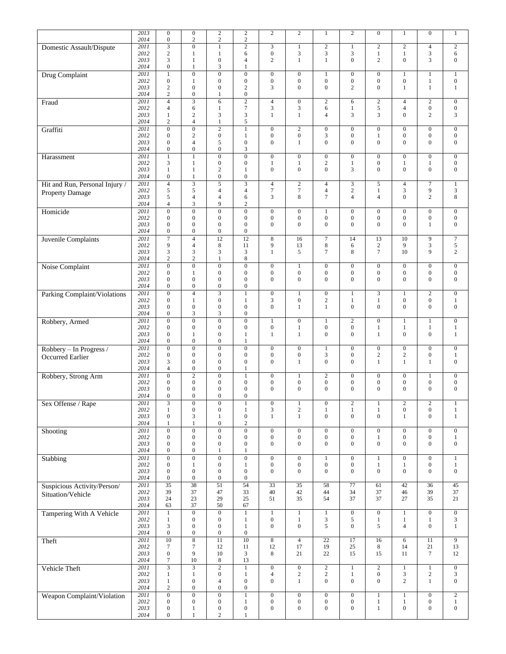|                                     | 2013              | $\mathbf{0}$                     |                                      |                                      |                                    | $\mathbf{2}$                         | $\mathbf{2}$                         |                  |                                      |                                    |                                  | $\boldsymbol{0}$                     |                                      |
|-------------------------------------|-------------------|----------------------------------|--------------------------------------|--------------------------------------|------------------------------------|--------------------------------------|--------------------------------------|------------------|--------------------------------------|------------------------------------|----------------------------------|--------------------------------------|--------------------------------------|
|                                     |                   |                                  | $\boldsymbol{0}$                     | $\sqrt{2}$                           | $\overline{c}$                     |                                      |                                      | 1                | $\mathbf{2}$                         | $\boldsymbol{0}$                   | $\mathbf{1}$                     |                                      | $\mathbf{1}$                         |
|                                     | 2014              | $\mathbf{0}$                     | $\overline{c}$                       | $\overline{c}$                       | $\mathbf{2}$                       |                                      |                                      |                  |                                      |                                    |                                  |                                      |                                      |
| Domestic Assault/Dispute            | 2011              | 3                                | $\overline{0}$                       | $\mathbf{1}$                         | $\overline{c}$                     | $\mathfrak{Z}$                       | $\mathbf{1}$                         | $\overline{c}$   | $\mathbf{1}$                         | $\overline{c}$                     | $\sqrt{2}$                       | $\overline{4}$                       | $\mathbf{2}$                         |
|                                     | 2012              | $\overline{c}$                   | 1                                    | $\mathbf{1}$                         | 6                                  | $\boldsymbol{0}$                     | 3                                    | 3                | $\mathfrak{Z}$                       | $\mathbf{1}$                       | $\mathbf{1}$                     | $\mathfrak{Z}$                       | 6                                    |
|                                     | 2013              | 3                                | 1                                    | $\mathbf{0}$                         | $\overline{4}$                     | $\mathbf{2}$                         | $\mathbf{1}$                         | $\mathbf{1}$     | $\boldsymbol{0}$                     | $\overline{c}$                     | $\boldsymbol{0}$                 | 3                                    | $\boldsymbol{0}$                     |
|                                     | 2014              | $\mathbf{0}$                     | 1                                    | 3                                    | 1                                  |                                      |                                      |                  |                                      |                                    |                                  |                                      |                                      |
| Drug Complaint                      | 2011              | $\mathbf{1}$                     | $\overline{0}$                       | $\overline{0}$                       | $\overline{0}$                     | $\boldsymbol{0}$                     | $\boldsymbol{0}$                     | 1                | $\boldsymbol{0}$                     | $\boldsymbol{0}$                   | $\mathbf{1}$                     | $\mathbf{1}$                         | $\mathbf{1}$                         |
|                                     | 2012              | $\mathbf{0}$                     | 1                                    | $\boldsymbol{0}$                     | $\mathbf{0}$                       | $\boldsymbol{0}$                     | $\boldsymbol{0}$                     | 0                | $\boldsymbol{0}$                     | $\boldsymbol{0}$<br>$\overline{0}$ | $\boldsymbol{0}$                 | $\mathbf{1}$                         | $\boldsymbol{0}$                     |
|                                     | 2013<br>2014      | 2<br>$\sqrt{2}$                  | $\boldsymbol{0}$<br>$\boldsymbol{0}$ | $\boldsymbol{0}$<br>1                | $\overline{2}$<br>$\boldsymbol{0}$ | 3                                    | $\overline{0}$                       | $\boldsymbol{0}$ | $\mathbf{2}$                         |                                    | $\mathbf{1}$                     | $\mathbf{1}$                         | $\mathbf{1}$                         |
|                                     |                   |                                  |                                      |                                      |                                    |                                      |                                      |                  |                                      |                                    |                                  |                                      |                                      |
| Fraud                               | 2011              | $\overline{4}$                   | $\overline{3}$                       | 6                                    | $\overline{2}$                     | $\sqrt{4}$                           | $\boldsymbol{0}$                     | $\overline{c}$   | 6                                    | $\overline{c}$                     | $\overline{4}$                   | $\overline{c}$                       | $\boldsymbol{0}$                     |
|                                     | 2012              | $\overline{4}$                   | 6                                    | $\mathbf{1}$                         | $\boldsymbol{7}$                   | $\mathfrak{Z}$                       | 3                                    | 6                | $\mathbf{1}$                         | 5<br>3                             | $\overline{4}$<br>$\overline{0}$ | $\boldsymbol{0}$<br>$\overline{c}$   | $\boldsymbol{0}$                     |
|                                     | 2013<br>2014      | $\mathbf{1}$<br>$\overline{c}$   | $\sqrt{2}$<br>$\overline{4}$         | $\mathfrak{Z}$<br>$\mathbf{1}$       | $\mathfrak 3$<br>5                 | $\mathbf{1}$                         | $\mathbf{1}$                         | 4                | 3                                    |                                    |                                  |                                      | 3                                    |
|                                     | 2011              | $\overline{0}$                   | $\overline{0}$                       | $\overline{2}$                       | $\mathbf{1}$                       | $\overline{0}$                       |                                      | $\boldsymbol{0}$ | $\overline{0}$                       | $\overline{0}$                     | $\boldsymbol{0}$                 | $\boldsymbol{0}$                     | $\overline{0}$                       |
| Graffiti                            | 2012              | $\mathbf{0}$                     | $\overline{c}$                       | $\boldsymbol{0}$                     | $\mathbf{1}$                       | $\boldsymbol{0}$                     | $\mathbf{2}$<br>$\boldsymbol{0}$     | 3                | $\boldsymbol{0}$                     | $\mathbf{1}$                       | $\boldsymbol{0}$                 | $\boldsymbol{0}$                     |                                      |
|                                     | 2013              | $\mathbf{0}$                     | $\overline{4}$                       | 5                                    | $\boldsymbol{0}$                   | $\mathbf{0}$                         | 1                                    | $\overline{0}$   | $\mathbf{0}$                         | $\overline{0}$                     | $\overline{0}$                   | $\mathbf{0}$                         | $\boldsymbol{0}$<br>$\boldsymbol{0}$ |
|                                     | 2014              | $\mathbf{0}$                     | $\boldsymbol{0}$                     | $\mathbf{0}$                         | 3                                  |                                      |                                      |                  |                                      |                                    |                                  |                                      |                                      |
|                                     | 2011              | $\overline{1}$                   | 1                                    | $\overline{0}$                       | $\overline{0}$                     | $\boldsymbol{0}$                     | $\boldsymbol{0}$                     | $\boldsymbol{0}$ | $\mathbf{0}$                         | $\boldsymbol{0}$                   | $\mathbf{0}$                     | $\boldsymbol{0}$                     | $\boldsymbol{0}$                     |
| Harassment                          | 2012              | 3                                | 1                                    | $\mathbf{0}$                         | $\boldsymbol{0}$                   | $\mathbf{1}$                         | $\mathbf{1}$                         | 2                | $\mathbf{1}$                         | $\boldsymbol{0}$                   | $\mathbf{1}$                     | $\mathbf{1}$                         | $\boldsymbol{0}$                     |
|                                     | 2013              | 1                                | 1                                    | $\overline{c}$                       | 1                                  | $\boldsymbol{0}$                     | $\overline{0}$                       | 0                | 3                                    | $\overline{0}$                     | $\boldsymbol{0}$                 | $\boldsymbol{0}$                     | $\boldsymbol{0}$                     |
|                                     | 2014              | $\mathbf{0}$                     | 1                                    | $\boldsymbol{0}$                     | $\mathbf{0}$                       |                                      |                                      |                  |                                      |                                    |                                  |                                      |                                      |
|                                     | 2011              | $\overline{4}$                   | $\overline{3}$                       | $\overline{5}$                       |                                    | $\overline{4}$                       | $\sqrt{2}$                           | 4                | $\mathfrak{Z}$                       | 5                                  | $\overline{4}$                   | $\tau$                               | $\mathbf{1}$                         |
| Hit and Run, Personal Injury /      | 2012              | 5                                | 5                                    | $\overline{4}$                       | $\overline{4}$                     | $\boldsymbol{7}$                     | $\boldsymbol{7}$                     | 4                | $\overline{c}$                       | $\mathbf{1}$                       | 3                                | 9                                    | 3                                    |
| Property Damage                     | 2013              | 5                                | $\overline{4}$                       | $\overline{4}$                       | 6                                  | $\mathfrak{Z}$                       | 8                                    | 7                | $\overline{4}$                       | $\overline{4}$                     | $\overline{0}$                   | $\overline{c}$                       | 8                                    |
|                                     | 2014              | $\overline{4}$                   | 3                                    | 9                                    | $\overline{c}$                     |                                      |                                      |                  |                                      |                                    |                                  |                                      |                                      |
| Homicide                            | 2011              | $\mathbf{0}$                     | $\overline{0}$                       | $\overline{0}$                       | $\boldsymbol{0}$                   | $\boldsymbol{0}$                     | $\boldsymbol{0}$                     | $\mathbf{1}$     | $\mathbf{0}$                         | $\boldsymbol{0}$                   | $\mathbf{0}$                     | $\boldsymbol{0}$                     | $\boldsymbol{0}$                     |
|                                     | 2012              | $\mathbf{0}$                     | $\boldsymbol{0}$                     | $\mathbf{0}$                         | $\boldsymbol{0}$                   | $\boldsymbol{0}$                     | $\boldsymbol{0}$                     | $\boldsymbol{0}$ | $\boldsymbol{0}$                     | $\boldsymbol{0}$                   | $\boldsymbol{0}$                 | $\boldsymbol{0}$                     | $\boldsymbol{0}$                     |
|                                     | 2013              | $\mathbf{0}$                     | $\mathbf{0}$                         | $\boldsymbol{0}$                     | $\mathbf{0}$                       | $\boldsymbol{0}$                     | $\overline{0}$                       | 0                | $\boldsymbol{0}$                     | $\overline{0}$                     | $\overline{0}$                   | $\mathbf{1}$                         | $\boldsymbol{0}$                     |
|                                     | 2014              | $\mathbf{0}$                     | $\boldsymbol{0}$                     | $\boldsymbol{0}$                     | $\boldsymbol{0}$                   |                                      |                                      |                  |                                      |                                    |                                  |                                      |                                      |
|                                     | 2011              | $\overline{7}$                   | $\overline{4}$                       | 12                                   | 12                                 | 8                                    | 16                                   | 7                | 14                                   | 13                                 | 10                               | 9                                    | $\boldsymbol{7}$                     |
| <b>Juvenile Complaints</b>          | 2012              | 9                                | $\overline{4}$                       | 8                                    | 11                                 | 9                                    | 13                                   | 8                | 6                                    | $\boldsymbol{2}$                   | 9                                | 3                                    | $\sqrt{5}$                           |
|                                     | 2013              | 3                                | $\mathfrak{Z}$                       | 3                                    | 3                                  | $\mathbf{1}$                         | 5                                    | 7                | 8                                    | $\overline{7}$                     | 10                               | 9                                    | $\overline{c}$                       |
|                                     | 2014              | $\overline{c}$                   | $\overline{c}$                       | $\mathbf{1}$                         | $\,8\,$                            |                                      |                                      |                  |                                      |                                    |                                  |                                      |                                      |
| Noise Complaint                     | 2011              | $\mathbf{0}$                     | $\overline{0}$                       | $\overline{0}$                       | $\overline{0}$                     | $\boldsymbol{0}$                     | $\mathbf{1}$                         | $\boldsymbol{0}$ | $\mathbf{0}$                         | $\boldsymbol{0}$                   | $\mathbf{0}$                     | $\boldsymbol{0}$                     | $\boldsymbol{0}$                     |
|                                     | 2012              | $\mathbf{0}$                     | 1                                    | $\mathbf{0}$                         | $\overline{0}$                     | $\boldsymbol{0}$                     | $\boldsymbol{0}$                     | 0                | $\boldsymbol{0}$                     | $\boldsymbol{0}$                   | $\boldsymbol{0}$                 | $\boldsymbol{0}$                     | $\boldsymbol{0}$                     |
|                                     | 2013              | $\mathbf{0}$                     | $\overline{0}$                       | $\mathbf{0}$                         | $\boldsymbol{0}$                   | $\boldsymbol{0}$                     | $\overline{0}$                       | 0                | $\boldsymbol{0}$                     | $\overline{0}$                     | $\mathbf{0}$                     | $\boldsymbol{0}$                     | $\mathbf{0}$                         |
|                                     | 2014              | $\mathbf{0}$                     | $\boldsymbol{0}$                     | $\mathbf{0}$                         | $\boldsymbol{0}$                   |                                      |                                      |                  |                                      |                                    |                                  |                                      |                                      |
| <b>Parking Complaint/Violations</b> | 2011              | $\overline{0}$                   | $\overline{4}$                       | $\overline{3}$                       | $\mathbf{1}$                       | $\boldsymbol{0}$                     | $\mathbf{1}$                         | $\overline{0}$   | $\mathbf{1}$                         | $\overline{\mathbf{3}}$            | $\mathbf{1}$                     | $\overline{c}$                       | $\boldsymbol{0}$                     |
|                                     | 2012              | $\mathbf{0}$                     | $\mathbf{1}$                         | $\mathbf{0}$                         | $\mathbf{1}$                       | $\mathfrak{Z}$                       | $\boldsymbol{0}$                     | $\overline{c}$   | $\mathbf{1}$                         | $\mathbf{1}$                       | $\boldsymbol{0}$                 | $\boldsymbol{0}$                     | $\mathbf{1}$                         |
|                                     | 2013              | $\mathbf{0}$                     | $\boldsymbol{0}$                     | $\mathbf{0}$                         | $\mathbf{0}$                       | $\mathbf{0}$                         | $\mathbf{1}$                         | $\mathbf{1}$     | $\boldsymbol{0}$                     | $\overline{0}$                     | $\overline{0}$                   | $\mathbf{0}$                         | $\boldsymbol{0}$                     |
|                                     | 2014              | $\boldsymbol{0}$                 | $\mathfrak{Z}$                       | $\mathfrak{Z}$                       | $\boldsymbol{0}$                   |                                      |                                      |                  |                                      |                                    |                                  |                                      |                                      |
| Robbery, Armed                      | 2011              | $\overline{0}$                   | $\overline{0}$                       | $\overline{0}$                       | $\overline{0}$                     | $\mathbf{1}$                         | $\boldsymbol{0}$                     | $\mathbf{1}$     | $\overline{2}$                       | $\overline{0}$                     | $\mathbf{1}$                     | $\mathbf{1}$                         | $\boldsymbol{0}$                     |
|                                     | 2012              | $\mathbf{0}$                     | $\boldsymbol{0}$                     | $\mathbf{0}$                         | $\mathbf{0}$                       | $\boldsymbol{0}$                     | 1                                    | 0                | $\boldsymbol{0}$                     | $\mathbf{1}$                       | $\mathbf{1}$                     | 1                                    | $\mathbf{1}$                         |
|                                     | 2013              | $\mathbf{0}$                     | 1                                    | $\mathbf{0}$                         | 1                                  | $\mathbf{1}$                         | $\mathbf{1}$                         | $\overline{0}$   | $\boldsymbol{0}$                     | $\mathbf{1}$                       | $\overline{0}$                   | $\boldsymbol{0}$                     | $\mathbf{1}$                         |
|                                     | 2014              | $\mathbf{0}$                     | $\boldsymbol{0}$                     | $\mathbf{0}$                         | 1                                  |                                      |                                      |                  |                                      |                                    |                                  |                                      |                                      |
| Robbery - In Progress /             | 2011              | $\overline{0}$                   | $\overline{0}$                       | $\overline{0}$                       | $\overline{0}$                     | $\boldsymbol{0}$                     | $\boldsymbol{0}$                     | 1                | $\mathbf{0}$                         | $\boldsymbol{0}$                   | $\boldsymbol{0}$                 | $\boldsymbol{0}$                     | $\boldsymbol{0}$                     |
| Occurred Earlier                    | 2012              | $\mathbf{0}$                     | $\boldsymbol{0}$                     | $\boldsymbol{0}$                     | $\boldsymbol{0}$                   | $\boldsymbol{0}$                     | $\boldsymbol{0}$                     | 3                | $\mathbf{0}$                         | $\overline{c}$                     | $\overline{c}$                   | $\boldsymbol{0}$                     | $\mathbf{1}$                         |
|                                     | 2013              | 3                                | $\mathbf{0}$                         | $\mathbf{0}$                         | $\mathbf{0}$                       | $\mathbf{0}$                         | $\mathbf{1}$                         | $\overline{0}$   | $\mathbf{0}$                         | $\mathbf{1}$                       | $\mathbf{1}$                     | $\mathbf{1}$                         | $\boldsymbol{0}$                     |
|                                     | 2014              | $\overline{4}$                   | $\mathbf{0}$                         | $\mathbf{0}$                         | 1                                  |                                      |                                      |                  |                                      |                                    |                                  |                                      |                                      |
| Robbery, Strong Arm                 | 2011              | $\mathbf{0}$                     | $\mathbf{2}$                         | $\mathbf{0}$                         | $\mathbf{1}$                       | $\boldsymbol{0}$                     | $\mathbf{1}$                         | $\overline{c}$   | $\boldsymbol{0}$                     | $\boldsymbol{0}$                   | $\boldsymbol{0}$                 | $\mathbf{1}$                         | $\boldsymbol{0}$                     |
|                                     | 2012              | $\mathbf{0}$                     | $\boldsymbol{0}$                     | $\mathbf{0}$                         | $\boldsymbol{0}$                   | $\boldsymbol{0}$                     | $\boldsymbol{0}$                     | 0                | $\boldsymbol{0}$                     | $\boldsymbol{0}$                   | $\boldsymbol{0}$                 | $\boldsymbol{0}$                     | $\boldsymbol{0}$                     |
|                                     | 2013              | $\mathbf{0}$                     | $\mathbf{0}$                         | $\mathbf{0}$                         | $\mathbf{0}$                       | $\mathbf{0}$                         | $\overline{0}$                       | $\overline{0}$   | $\mathbf{0}$                         | $\mathbf{0}$                       | $\overline{0}$                   | $\mathbf{0}$                         | $\mathbf{0}$                         |
|                                     | 2014              | $\Omega$                         | $\Omega$                             | $\mathbf{0}$                         | $\Omega$                           |                                      |                                      |                  |                                      |                                    |                                  |                                      |                                      |
| Sex Offense / Rape                  | 2011              | 3                                | $\boldsymbol{0}$                     | $\boldsymbol{0}$                     | 1                                  | $\boldsymbol{0}$                     | $\mathbf{1}$                         | $\boldsymbol{0}$ | $\overline{c}$                       | 1                                  | $\sqrt{2}$                       | 2                                    | $\mathbf{1}$                         |
|                                     | 2012              | $\mathbf{1}$                     | $\boldsymbol{0}$                     | $\boldsymbol{0}$                     | $\mathbf{1}$                       | $\mathfrak{Z}$                       | $\overline{c}$                       | $\mathbf{1}$     | $1\,$                                | $\mathbf{1}$                       | $\boldsymbol{0}$                 | $\boldsymbol{0}$                     | $\,1$                                |
|                                     | 2013              | $\mathbf{0}$                     | 3                                    | 1                                    | $\boldsymbol{0}$                   | $\mathbf{1}$                         | $\mathbf{1}$                         | $\mathbf{0}$     | $\mathbf{0}$                         | $\overline{0}$                     | 1                                | $\overline{0}$                       | $\mathbf{1}$                         |
|                                     | 2014              | $\mathbf{1}$                     | $\mathbf{1}$                         | $\boldsymbol{0}$                     | $\mathbf{2}$                       |                                      |                                      |                  |                                      |                                    |                                  |                                      |                                      |
| Shooting                            | 2011              | $\mathbf{0}$                     | $\overline{0}$                       | $\overline{0}$                       | $\boldsymbol{0}$                   | $\boldsymbol{0}$                     | $\boldsymbol{0}$                     | $\boldsymbol{0}$ | $\boldsymbol{0}$                     | $\overline{0}$                     | $\boldsymbol{0}$                 | $\boldsymbol{0}$                     | $\boldsymbol{0}$                     |
|                                     | 2012              | $\mathbf{0}$                     | $\boldsymbol{0}$                     | $\boldsymbol{0}$                     | $\boldsymbol{0}$                   | $\boldsymbol{0}$                     | $\boldsymbol{0}$                     | $\boldsymbol{0}$ | $\boldsymbol{0}$                     | $\mathbf{1}$                       | $\boldsymbol{0}$                 | $\boldsymbol{0}$                     | $\mathbf{1}$                         |
|                                     | 2013              | $\mathbf{0}$                     | $\boldsymbol{0}$                     | $\boldsymbol{0}$                     | $\boldsymbol{0}$                   | $\boldsymbol{0}$                     | $\boldsymbol{0}$                     | 0                | $\boldsymbol{0}$                     | $\boldsymbol{0}$                   | $\boldsymbol{0}$                 | $\boldsymbol{0}$                     | $\overline{0}$                       |
|                                     | 2014              | $\mathbf{0}$                     | $\boldsymbol{0}$                     | $\mathbf{1}$                         | $\mathbf{1}$                       |                                      |                                      |                  |                                      |                                    |                                  |                                      |                                      |
| Stabbing                            | 2011              | $\boldsymbol{0}$                 | $\overline{0}$                       | $\mathbf{0}$                         | $\boldsymbol{0}$                   | $\boldsymbol{0}$                     | $\boldsymbol{0}$                     | $\mathbf{1}$     | $\boldsymbol{0}$                     | $\mathbf{1}$                       | $\boldsymbol{0}$                 | $\boldsymbol{0}$                     | $\mathbf{1}$                         |
|                                     | 2012              | $\mathbf{0}$                     | 1                                    | $\boldsymbol{0}$                     | 1                                  | $\boldsymbol{0}$                     | $\boldsymbol{0}$                     | $\boldsymbol{0}$ | $\boldsymbol{0}$                     | $\mathbf{1}$                       | 1                                | $\boldsymbol{0}$                     | $1\,$                                |
|                                     | 2013              | $\mathbf{0}$                     | $\boldsymbol{0}$                     | $\boldsymbol{0}$                     | $\mathbf{0}$                       | $\boldsymbol{0}$                     | $\boldsymbol{0}$                     | 0                | $\boldsymbol{0}$                     | $\boldsymbol{0}$                   | $\boldsymbol{0}$                 | $\boldsymbol{0}$                     | $\mathbf{0}$                         |
|                                     | 2014              | $\boldsymbol{0}$                 | $\mathbf{0}$                         | $\boldsymbol{0}$                     | $\boldsymbol{0}$                   |                                      |                                      |                  |                                      |                                    |                                  |                                      |                                      |
| Suspicious Activity/Person/         | 2011              | $\overline{35}$                  | 38                                   | $\overline{51}$                      | 54                                 | $\overline{33}$                      | $\overline{35}$                      | $\overline{58}$  | $\overline{77}$                      | 61                                 | 42                               | $\overline{36}$                      | 45                                   |
| Situation/Vehicle                   | 2012              | 39                               | 37                                   | 47                                   | 33                                 | 40                                   | 42                                   | 44               | 34                                   | 37                                 | 46                               | 39                                   | 37                                   |
|                                     | 2013              | 24                               | 23                                   | 29                                   | 25                                 | 51                                   | 35                                   | 54               | 37                                   | 37                                 | 27                               | 35                                   | 21                                   |
|                                     | 2014              | 63                               | 37                                   | 50                                   | 67                                 |                                      |                                      |                  |                                      |                                    |                                  |                                      |                                      |
| Tampering With A Vehicle            | 2011              | $\mathbf{1}$                     | $\overline{0}$                       | $\boldsymbol{0}$                     | $\mathbf{1}$                       | $\mathbf{1}$                         | $\,1$                                | $\mathbf{1}$     | $\boldsymbol{0}$                     | $\overline{0}$                     | $\mathbf{1}$                     | $\boldsymbol{0}$                     | $\boldsymbol{0}$                     |
|                                     | 2012              | $\mathbf{1}$                     | $\boldsymbol{0}$                     | $\boldsymbol{0}$                     | 1                                  | $\boldsymbol{0}$                     | $\mathbf{1}$                         | 3                | 5                                    | 1                                  | $\mathbf{1}$                     | $\mathbf{1}$                         | 3                                    |
|                                     | 2013              | 3                                | $\boldsymbol{0}$                     | $\boldsymbol{0}$                     | $\mathbf{1}$                       | $\boldsymbol{0}$                     | $\boldsymbol{0}$                     | 5                | $\boldsymbol{0}$                     | 5                                  | $\overline{4}$                   | $\boldsymbol{0}$                     | $1\,$                                |
|                                     | 2014              | $\boldsymbol{0}$                 | $\boldsymbol{0}$                     | $\boldsymbol{0}$                     | $\boldsymbol{0}$                   |                                      |                                      |                  |                                      |                                    |                                  |                                      |                                      |
| Theft                               | 2011              | $\overline{10}$                  | $\overline{\bf 8}$                   | $\overline{11}$                      | $\overline{10}$                    | $\overline{8}$                       | $\overline{4}$                       | $\overline{22}$  | $\overline{17}$                      | 16                                 | 6                                | 11                                   | $\overline{9}$                       |
|                                     | 2012              | $\tau$                           | $\overline{7}$                       | 12                                   | 11                                 | 12                                   | 17                                   | 19               | $25\,$                               | 8                                  | 14                               | 21                                   | 13                                   |
|                                     | 2013              | $\mathbf{0}$                     | 9                                    | 10                                   | 3                                  | 8                                    | 21                                   | 22               | 15                                   | 15                                 | 11                               | $\tau$                               | 12                                   |
|                                     | 2014              | $\tau$                           | 10                                   | 8                                    | 13                                 |                                      |                                      |                  |                                      |                                    |                                  |                                      |                                      |
| Vehicle Theft                       | $\overline{2011}$ | $\overline{\mathbf{3}}$          | $\overline{3}$                       | $\overline{2}$                       | $\mathbf{1}$                       | $\boldsymbol{0}$                     | $\overline{0}$                       | $\overline{2}$   | $\mathbf{1}$                         | $\overline{c}$                     | $\mathbf{1}$                     | $\mathbf{1}$                         | $\mathbf{0}$                         |
|                                     | 2012              | 1                                | $\mathbf{1}$                         | $\boldsymbol{0}$                     | $\mathbf{1}$                       | $\overline{4}$                       | $\overline{c}$                       | $\overline{c}$   | $\mathbf{1}$                         | $\boldsymbol{0}$                   | 3                                | $\sqrt{2}$                           | 3                                    |
|                                     | 2013              | $\mathbf{1}$                     | $\boldsymbol{0}$<br>$\mathbf{0}$     | $\overline{\mathbf{4}}$              | $\boldsymbol{0}$                   | $\boldsymbol{0}$                     | $\mathbf{1}$                         | $\boldsymbol{0}$ | $\mathbf{0}$                         | $\boldsymbol{0}$                   | $\overline{c}$                   | $\mathbf{1}$                         | $\overline{0}$                       |
|                                     | 2014              | $\overline{c}$                   | $\overline{0}$                       | $\boldsymbol{0}$                     | $\boldsymbol{0}$                   |                                      |                                      |                  |                                      |                                    |                                  |                                      |                                      |
| Weapon Complaint/Violation          | 2011              | $\overline{0}$                   |                                      | $\overline{0}$                       | $\mathbf{1}$                       | $\boldsymbol{0}$                     | $\boldsymbol{0}$                     | $\mathbf{0}$     | $\mathbf{0}$                         | $\mathbf{1}$                       | $\mathbf{1}$                     | $\boldsymbol{0}$                     | $\overline{2}$                       |
|                                     | 2012<br>2013      | $\mathbf{0}$<br>$\boldsymbol{0}$ | $\boldsymbol{0}$<br>$\mathbf{1}$     | $\boldsymbol{0}$<br>$\boldsymbol{0}$ | $\mathbf{1}$<br>$\boldsymbol{0}$   | $\boldsymbol{0}$<br>$\boldsymbol{0}$ | $\boldsymbol{0}$<br>$\boldsymbol{0}$ | 0<br>0           | $\boldsymbol{0}$<br>$\boldsymbol{0}$ | $\mathbf{1}$<br>$\mathbf{1}$       | $\mathbf{1}$<br>$\overline{0}$   | $\boldsymbol{0}$<br>$\boldsymbol{0}$ | $\mathbf{1}$<br>$\boldsymbol{0}$     |
|                                     | 2014              | $\boldsymbol{0}$                 | $\mathbf{1}$                         | $\overline{c}$                       | $\mathbf{1}$                       |                                      |                                      |                  |                                      |                                    |                                  |                                      |                                      |
|                                     |                   |                                  |                                      |                                      |                                    |                                      |                                      |                  |                                      |                                    |                                  |                                      |                                      |